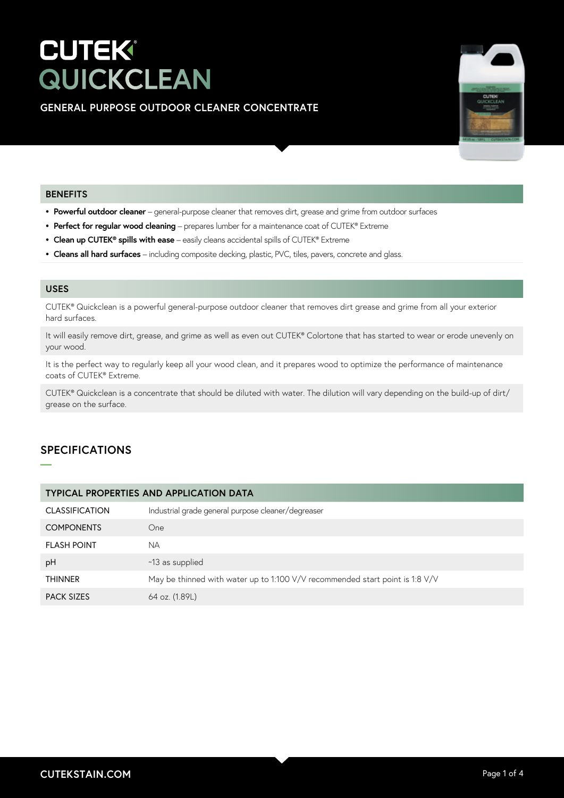# **CUTEK® QUICKCLEAN**

# **GENERAL PURPOSE OUTDOOR CLEANER CONCENTRATE**



### **BENEFITS**

- **• Powerful outdoor cleaner**  general-purpose cleaner that removes dirt, grease and grime from outdoor surfaces
- **• Perfect for regular wood cleaning**  prepares lumber for a maintenance coat of CUTEK® Extreme
- **• Clean up CUTEK® spills with ease**  easily cleans accidental spills of CUTEK® Extreme
- **• Cleans all hard surfaces**  including composite decking, plastic, PVC, tiles, pavers, concrete and glass.

# **USES**

CUTEK® Quickclean is a powerful general-purpose outdoor cleaner that removes dirt grease and grime from all your exterior hard surfaces.

It will easily remove dirt, grease, and grime as well as even out CUTEK® Colortone that has started to wear or erode unevenly on your wood.

It is the perfect way to regularly keep all your wood clean, and it prepares wood to optimize the performance of maintenance coats of CUTEK® Extreme.

CUTEK® Quickclean is a concentrate that should be diluted with water. The dilution will vary depending on the build-up of dirt/ grease on the surface.

# **SPECIFICATIONS**

**—**

| <b>TYPICAL PROPERTIES AND APPLICATION DATA</b> |                                                                              |  |  |
|------------------------------------------------|------------------------------------------------------------------------------|--|--|
| <b>CLASSIFICATION</b>                          | Industrial grade general purpose cleaner/degreaser                           |  |  |
| <b>COMPONENTS</b>                              | One                                                                          |  |  |
| <b>FLASH POINT</b>                             | <b>NA</b>                                                                    |  |  |
| pH                                             | ~13 as supplied                                                              |  |  |
| <b>THINNER</b>                                 | May be thinned with water up to 1:100 V/V recommended start point is 1:8 V/V |  |  |
| <b>PACK SIZES</b>                              | 64 oz. (1.89L)                                                               |  |  |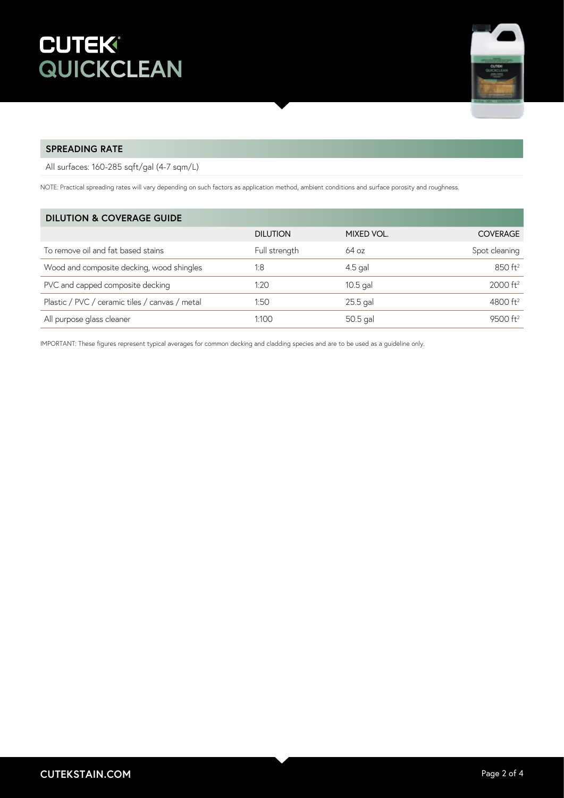

## **SPREADING RATE**

All surfaces: 160-285 sqft/gal (4-7 sqm/L)

NOTE: Practical spreading rates will vary depending on such factors as application method, ambient conditions and surface porosity and roughness.

| <b>DILUTION &amp; COVERAGE GUIDE</b>           |                 |            |                        |
|------------------------------------------------|-----------------|------------|------------------------|
|                                                | <b>DILUTION</b> | MIXED VOL. | <b>COVERAGE</b>        |
| To remove oil and fat based stains             | Full strength   | 64 oz      | Spot cleaning          |
| Wood and composite decking, wood shingles      | 1:8             | $4.5$ gal  | 850 ft <sup>2</sup>    |
| PVC and capped composite decking               | 1:20            | $10.5$ gal | $2000$ ft <sup>2</sup> |
| Plastic / PVC / ceramic tiles / canvas / metal | 1:50            | $25.5$ gal | 4800 $ft2$             |
| All purpose glass cleaner                      | 1:100           | 50.5 gal   | 9500 ft <sup>2</sup>   |

IMPORTANT: These figures represent typical averages for common decking and cladding species and are to be used as a guideline only.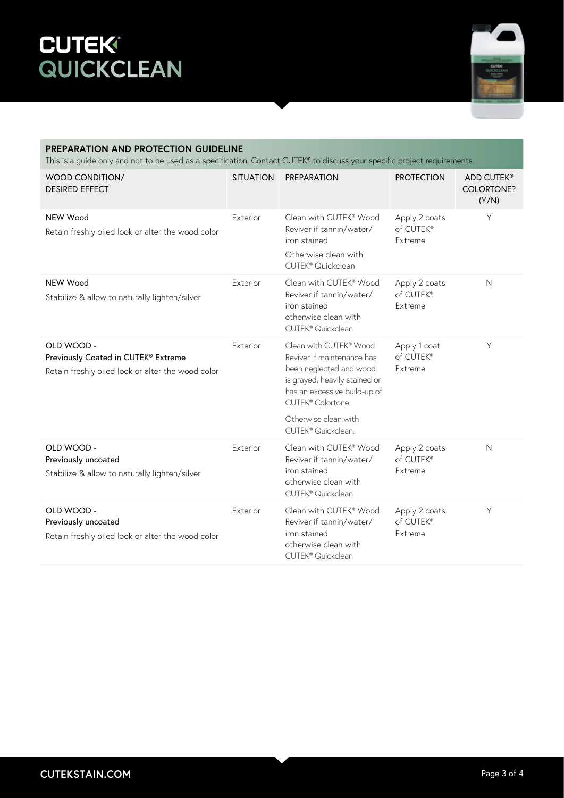# **CUTEK QUICKCLEAN**



#### **PREPARATION AND PROTECTION GUIDELINE** This is a guide only and not to be used as a specification. Contact CUTEK® to discuss your specific project requirements. WOOD CONDITION/ DESIRED EFFECT SITUATION PREPARATION PROTECTION ADD CUTEK® COLORTONE? (Y/N) NEW Wood Retain freshly oiled look or alter the wood color Exterior Clean with CUTEK® Wood Reviver if tannin/water/ iron stained Otherwise clean with CUTEK® Quickclean Apply 2 coats of CUTEK® Extreme Y NEW Wood Stabilize & allow to naturally lighten/silver Exterior Clean with CUTEK® Wood Reviver if tannin/water/ iron stained otherwise clean with CUTEK® Quickclean Apply 2 coats of CUTEK® Extreme N OLD WOOD - Previously Coated in CUTEK® Extreme Retain freshly oiled look or alter the wood color Exterior Clean with CUTEK<sup>®</sup> Wood Reviver if maintenance has been neglected and wood is grayed, heavily stained or has an excessive build-up of CUTEK® Colortone. Otherwise clean with CUTEK® Quickclean. Apply 1 coat of CUTEK® Extreme Y OLD WOOD - Previously uncoated Stabilize & allow to naturally lighten/silver Exterior Clean with CUTEK® Wood Reviver if tannin/water/ iron stained otherwise clean with CUTEK® Quickclean Apply 2 coats of CUTEK® Extreme N OLD WOOD - Previously uncoated Retain freshly oiled look or alter the wood color Exterior Clean with CUTEK® Wood Reviver if tannin/water/ iron stained otherwise clean with CUTEK® Quickclean Apply 2 coats of CUTEK® Extreme Y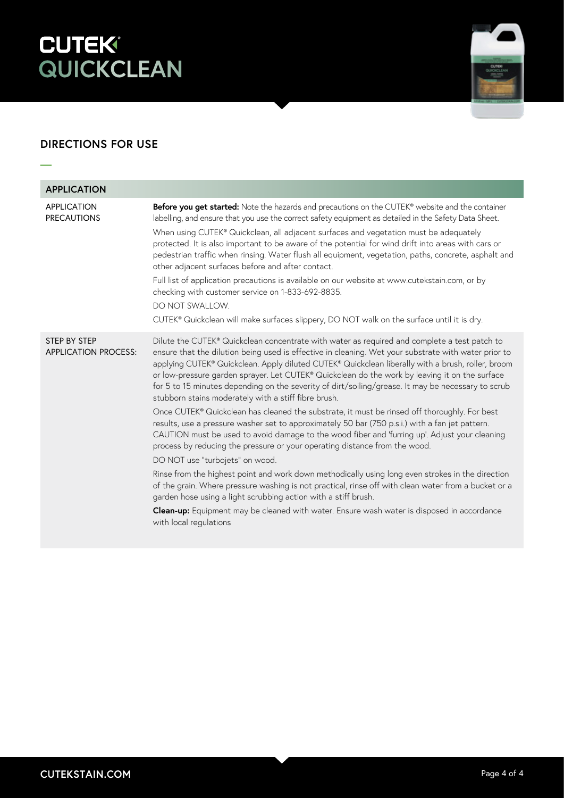# **CUTEK<sup>®</sup><br>QUICKCLEAN**



# **DIRECTIONS FOR USE**

**—**

| <b>APPLICATION</b>                          |                                                                                                                                                                                                                                                                                                                                                                                                                                                                                                                                                                                                                                                                                                                                                                                                                                                                                                                                                                                                                                                                                                                                                                                                                                                                                                                                                                            |
|---------------------------------------------|----------------------------------------------------------------------------------------------------------------------------------------------------------------------------------------------------------------------------------------------------------------------------------------------------------------------------------------------------------------------------------------------------------------------------------------------------------------------------------------------------------------------------------------------------------------------------------------------------------------------------------------------------------------------------------------------------------------------------------------------------------------------------------------------------------------------------------------------------------------------------------------------------------------------------------------------------------------------------------------------------------------------------------------------------------------------------------------------------------------------------------------------------------------------------------------------------------------------------------------------------------------------------------------------------------------------------------------------------------------------------|
| <b>APPLICATION</b><br><b>PRECAUTIONS</b>    | Before you get started: Note the hazards and precautions on the CUTEK® website and the container<br>labelling, and ensure that you use the correct safety equipment as detailed in the Safety Data Sheet.<br>When using CUTEK® Quickclean, all adjacent surfaces and vegetation must be adequately<br>protected. It is also important to be aware of the potential for wind drift into areas with cars or<br>pedestrian traffic when rinsing. Water flush all equipment, vegetation, paths, concrete, asphalt and<br>other adjacent surfaces before and after contact.<br>Full list of application precautions is available on our website at www.cutekstain.com, or by<br>checking with customer service on 1-833-692-8835.<br>DO NOT SWALLOW.<br>CUTEK® Quickclean will make surfaces slippery, DO NOT walk on the surface until it is dry.                                                                                                                                                                                                                                                                                                                                                                                                                                                                                                                              |
| STEP BY STEP<br><b>APPLICATION PROCESS:</b> | Dilute the CUTEK® Quickclean concentrate with water as required and complete a test patch to<br>ensure that the dilution being used is effective in cleaning. Wet your substrate with water prior to<br>applying CUTEK® Quickclean. Apply diluted CUTEK® Quickclean liberally with a brush, roller, broom<br>or low-pressure garden sprayer. Let CUTEK® Quickclean do the work by leaving it on the surface<br>for 5 to 15 minutes depending on the severity of dirt/soiling/grease. It may be necessary to scrub<br>stubborn stains moderately with a stiff fibre brush.<br>Once CUTEK® Quickclean has cleaned the substrate, it must be rinsed off thoroughly. For best<br>results, use a pressure washer set to approximately 50 bar (750 p.s.i.) with a fan jet pattern.<br>CAUTION must be used to avoid damage to the wood fiber and 'furring up'. Adjust your cleaning<br>process by reducing the pressure or your operating distance from the wood.<br>DO NOT use "turbojets" on wood.<br>Rinse from the highest point and work down methodically using long even strokes in the direction<br>of the grain. Where pressure washing is not practical, rinse off with clean water from a bucket or a<br>garden hose using a light scrubbing action with a stiff brush.<br>Clean-up: Equipment may be cleaned with water. Ensure wash water is disposed in accordance |
|                                             | with local regulations                                                                                                                                                                                                                                                                                                                                                                                                                                                                                                                                                                                                                                                                                                                                                                                                                                                                                                                                                                                                                                                                                                                                                                                                                                                                                                                                                     |